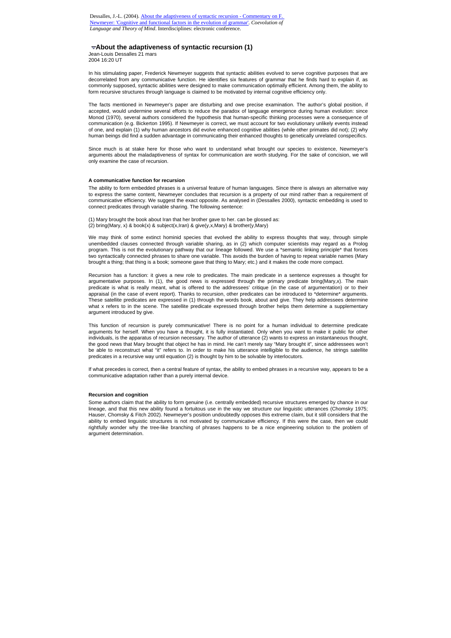# **About the adaptiveness of syntactic recursion (1)**

Jean-Louis Dessalles 21 mars 2004 16:20 UT

In his stimulating paper, Frederick Newmeyer suggests that syntactic abilities evolved to serve cognitive purposes that are decorrelated from any communicative function. He identifies six features of grammar that he finds hard to explain if, as commonly supposed, syntactic abilities were designed to make communication optimally efficient. Among them, the ability to form recursive structures through language is claimed to be motivated by internal cognitive efficiency only.

The facts mentioned in Newmeyer's paper are disturbing and owe precise examination. The author's global position, if accepted, would undermine several efforts to reduce the paradox of language emergence during human evolution: since Monod (1970), several authors considered the hypothesis that human-specific thinking processes were a consequence of communication (e.g. Bickerton 1995). If Newmeyer is correct, we must account for two evolutionary unlikely events instead of one, and explain (1) why human ancestors did evolve enhanced cognitive abilities (while other primates did not); (2) why human beings did find a sudden advantage in communicating their enhanced thoughts to genetically unrelated conspecifics.

Since much is at stake here for those who want to understand what brought our species to existence, Newmeyer's arguments about the maladaptiveness of syntax for communication are worth studying. For the sake of concision, we will only examine the case of recursion.

### **A communicative function for recursion**

The ability to form embedded phrases is a universal feature of human languages. Since there is always an alternative way to express the same content, Newmeyer concludes that recursion is a property of our mind rather than a requirement of communicative efficiency. We suggest the exact opposite. As analysed in (Dessalles 2000), syntactic embedding is used to connect predicates through variable sharing. The following sentence:

(1) Mary brought the book about Iran that her brother gave to her. can be glossed as: (2) bring(Mary, x) & book(x) & subject(x,Iran) & give(y,x,Mary) & brother(y,Mary)

We may think of some extinct hominid species that evolved the ability to express thoughts that way, through simple unembedded clauses connected through variable sharing, as in (2) which computer scientists may regard as a Prolog program. This is not the evolutionary pathway that our lineage followed. We use a \*semantic linking principle\* that forces two syntactically connected phrases to share one variable. This avoids the burden of having to repeat variable names (Mary brought a thing; that thing is a book; someone gave that thing to Mary; etc.) and it makes the code more compact.

Recursion has a function: it gives a new role to predicates. The main predicate in a sentence expresses a thought for argumentative purposes. In (1), the good news is expressed through the primary predicate bring(Mary,x). The main predicate is what is really meant, what is offered to the addressees' critique (in the case of argumentation) or to their appraisal (in the case of event report). Thanks to recursion, other predicates can be introduced to \*determine\* arguments. These satellite predicates are expressed in (1) through the words book, about and give. They help addressees determine what x refers to in the scene. The satellite predicate expressed through brother helps them determine a supplementary argument introduced by give.

This function of recursion is purely communicative! There is no point for a human individual to determine predicate arguments for herself. When you have a thought, it is fully instantiated. Only when you want to make it public for other individuals, is the apparatus of recursion necessary. The author of utterance (2) wants to express an instantaneous thought, the good news that Mary brought that object he has in mind. He can't merely say "Mary brought it", since addressees won't be able to reconstruct what "it" refers to. In order to make his utterance intelligible to the audience, he strings satellite predicates in a recursive way until equation (2) is thought by him to be solvable by interlocutors.

If what precedes is correct, then a central feature of syntax, the ability to embed phrases in a recursive way, appears to be a communicative adaptation rather than a purely internal device.

#### **Recursion and cognition**

Some authors claim that the ability to form genuine (i.e. centrally embedded) recursive structures emerged by chance in our lineage, and that this new ability found a fortuitous use in the way we structure our linguistic utterances (Chomsky 1975; Hauser, Chomsky & Fitch 2002). Newmeyer's position undoubtedly opposes this extreme claim, but it still considers that the ability to embed linguistic structures is not motivated by communicative efficiency. If this were the case, then we could rightfully wonder why the tree-like branching of phrases happens to be a nice engineering solution to the problem of argument determination.

Dessalles, J.-L. (2004). About the adaptiveness of syntactic recursion - Commentary on F. Newmeyer: 'Cognitive and functional factors in the evolution of grammar'. *Coevolution of Language and Theory of Mind*. Interdisciplines: electronic conference.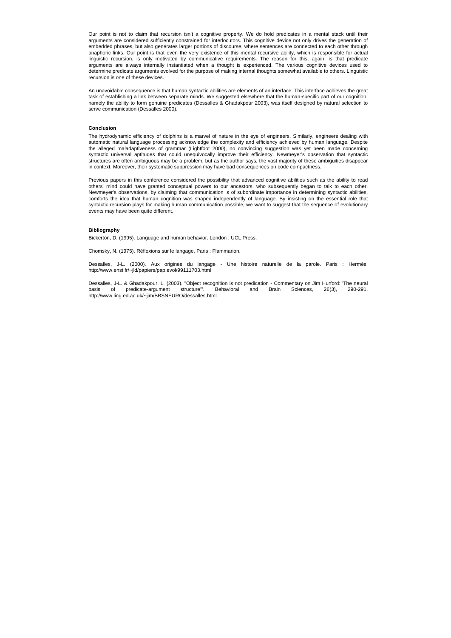Our point is not to claim that recursion isn't a cognitive property. We do hold predicates in a mental stack until their arguments are considered sufficiently constrained for interlocutors. This cognitive device not only drives the generation of embedded phrases, but also generates larger portions of discourse, where sentences are connected to each other through anaphoric links. Our point is that even the very existence of this mental recursive ability, which is responsible for actual linguistic recursion, is only motivated by communicative requirements. The reason for this, again, is that predicate arguments are always internally instantiated when a thought is experienced. The various cognitive devices used to determine predicate arguments evolved for the purpose of making internal thoughts somewhat available to others. Linguistic recursion is one of these devices.

An unavoidable consequence is that human syntactic abilities are elements of an interface. This interface achieves the great task of establishing a link between separate minds. We suggested elsewhere that the human-specific part of our cognition, namely the ability to form genuine predicates (Dessalles & Ghadakpour 2003), was itself designed by natural selection to serve communication (Dessalles 2000).

## **Conclusion**

The hydrodynamic efficiency of dolphins is a marvel of nature in the eye of engineers. Similarly, engineers dealing with automatic natural language processing acknowledge the complexity and efficiency achieved by human language. Despite the alleged maladaptiveness of grammar (Lightfoot 2000), no convincing suggestion was yet been made concerning syntactic universal aptitudes that could unequivocally improve their efficiency. Newmeyer's observation that syntactic structures are often ambiguous may be a problem, but as the author says, the vast majority of these ambiguities disappear in context. Moreover, their systematic suppression may have bad consequences on code compactness.

Previous papers in this conference considered the possibility that advanced cognitive abilities such as the ability to read others' mind could have granted conceptual powers to our ancestors, who subsequently began to talk to each other. Newmeyer's observations, by claiming that communication is of subordinate importance in determining syntactic abilities, comforts the idea that human cognition was shaped independently of language. By insisting on the essential role that syntactic recursion plays for making human communication possible, we want to suggest that the sequence of evolutionary events may have been quite different.

## **Bibliography**

Bickerton, D. (1995). Language and human behavior. London : UCL Press.

Chomsky, N. (1975). Réflexions sur le langage. Paris : Flammarion.

Dessalles, J-L. (2000). Aux origines du langage - Une histoire naturelle de la parole. Paris : Hermès. http://www.enst.fr/~jld/papiers/pap.evol/99111703.html

Dessalles, J-L. & Ghadakpour, L. (2003). "Object recognition is not predication - Commentary on Jim Hurford: 'The neural basis of predicate-argument structure'". Behavioral and Brain Sciences, 26(3), 290-291. http://www.ling.ed.ac.uk/~jim/BBSNEURO/dessalles.html